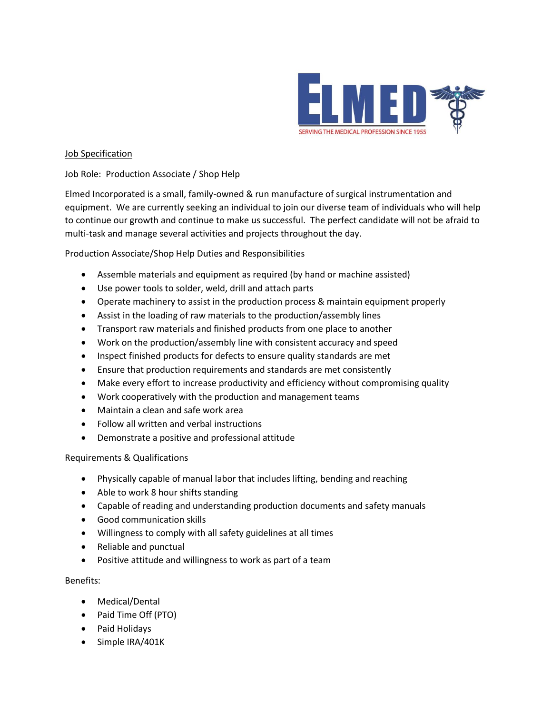

## Job Specification

Job Role: Production Associate / Shop Help

Elmed Incorporated is a small, family-owned & run manufacture of surgical instrumentation and equipment. We are currently seeking an individual to join our diverse team of individuals who will help to continue our growth and continue to make us successful. The perfect candidate will not be afraid to multi-task and manage several activities and projects throughout the day.

Production Associate/Shop Help Duties and Responsibilities

- Assemble materials and equipment as required (by hand or machine assisted)
- Use power tools to solder, weld, drill and attach parts
- Operate machinery to assist in the production process & maintain equipment properly
- Assist in the loading of raw materials to the production/assembly lines
- Transport raw materials and finished products from one place to another
- Work on the production/assembly line with consistent accuracy and speed
- Inspect finished products for defects to ensure quality standards are met
- Ensure that production requirements and standards are met consistently
- Make every effort to increase productivity and efficiency without compromising quality
- Work cooperatively with the production and management teams
- Maintain a clean and safe work area
- Follow all written and verbal instructions
- Demonstrate a positive and professional attitude

Requirements & Qualifications

- Physically capable of manual labor that includes lifting, bending and reaching
- Able to work 8 hour shifts standing
- Capable of reading and understanding production documents and safety manuals
- Good communication skills
- Willingness to comply with all safety guidelines at all times
- Reliable and punctual
- Positive attitude and willingness to work as part of a team

Benefits:

- Medical/Dental
- Paid Time Off (PTO)
- Paid Holidays
- Simple IRA/401K